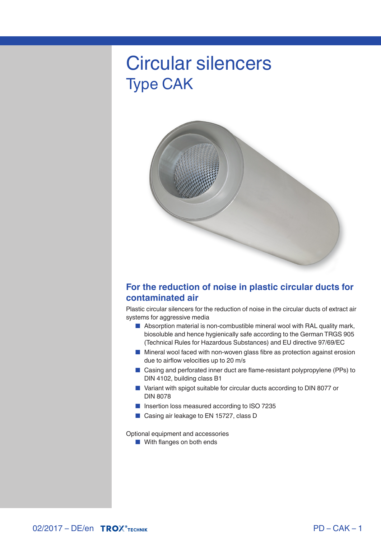# Circular silencers Type CAK



### **For the reduction of noise in plastic circular ducts for contaminated air**

Plastic circular silencers for the reduction of noise in the circular ducts of extract air systems for aggressive media

- Absorption material is non-combustible mineral wool with RAL quality mark, biosoluble and hence hygienically safe according to the German TRGS 905 (Technical Rules for Hazardous Substances) and EU directive 97/69/EC
- Mineral wool faced with non-woven glass fibre as protection against erosion due to airflow velocities up to 20 m/s
- Casing and perforated inner duct are flame-resistant polypropylene (PPs) to DIN 4102, building class B1
- Variant with spigot suitable for circular ducts according to DIN 8077 or DIN 8078
- Insertion loss measured according to ISO 7235
- Casing air leakage to EN 15727, class D

Optional equipment and accessories

■ With flanges on both ends

**02/2017 – DE/en TROX** TECHNIK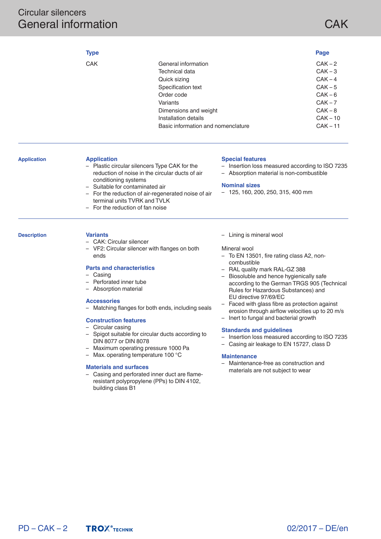### Circular silencers General information

# **CAK**

|                    | <b>Type</b>                                                                                                                                                                                                                                                                                                                                                                                                                                                                                                                                                                                                                                               |                                                                                                                                                                                                                                                                                                                                                                                                                                                                                                                                                                                                                                                                                       | Page                                                                                                        |
|--------------------|-----------------------------------------------------------------------------------------------------------------------------------------------------------------------------------------------------------------------------------------------------------------------------------------------------------------------------------------------------------------------------------------------------------------------------------------------------------------------------------------------------------------------------------------------------------------------------------------------------------------------------------------------------------|---------------------------------------------------------------------------------------------------------------------------------------------------------------------------------------------------------------------------------------------------------------------------------------------------------------------------------------------------------------------------------------------------------------------------------------------------------------------------------------------------------------------------------------------------------------------------------------------------------------------------------------------------------------------------------------|-------------------------------------------------------------------------------------------------------------|
|                    | <b>CAK</b><br>Variants                                                                                                                                                                                                                                                                                                                                                                                                                                                                                                                                                                                                                                    | General information<br>Technical data<br>Quick sizing<br>Specification text<br>Order code<br>Dimensions and weight<br>Installation details<br>Basic information and nomenclature                                                                                                                                                                                                                                                                                                                                                                                                                                                                                                      | $CAK-2$<br>$CAK-3$<br>$CAK - 4$<br>$CAK - 5$<br>$CAK-6$<br>$CAK - 7$<br>$CAK-8$<br>$CAK - 10$<br>$CAK - 11$ |
| <b>Application</b> | <b>Application</b><br>- Plastic circular silencers Type CAK for the<br>reduction of noise in the circular ducts of air<br>conditioning systems<br>Suitable for contaminated air<br>- For the reduction of air-regenerated noise of air<br>terminal units TVRK and TVLK<br>For the reduction of fan noise                                                                                                                                                                                                                                                                                                                                                  | <b>Special features</b><br>- Insertion loss measured according to ISO 7235<br>- Absorption material is non-combustible<br><b>Nominal sizes</b><br>- 125, 160, 200, 250, 315, 400 mm                                                                                                                                                                                                                                                                                                                                                                                                                                                                                                   |                                                                                                             |
| <b>Description</b> | <b>Variants</b><br>- CAK: Circular silencer<br>- VF2: Circular silencer with flanges on both<br>ends<br><b>Parts and characteristics</b><br>- Casing<br>- Perforated inner tube<br>- Absorption material<br><b>Accessories</b><br>- Matching flanges for both ends, including seals<br><b>Construction features</b><br>- Circular casing<br>- Spigot suitable for circular ducts according to<br>DIN 8077 or DIN 8078<br>- Maximum operating pressure 1000 Pa<br>- Max. operating temperature 100 °C<br><b>Materials and surfaces</b><br>- Casing and perforated inner duct are flame-<br>resistant polypropylene (PPs) to DIN 4102,<br>building class B1 | - Lining is mineral wool<br>Mineral wool<br>- To EN 13501, fire rating class A2, non-<br>combustible<br>- RAL quality mark RAL-GZ 388<br>- Biosoluble and hence hygienically safe<br>according to the German TRGS 905 (Technical<br>Rules for Hazardous Substances) and<br>EU directive 97/69/EC<br>Faced with glass fibre as protection against<br>erosion through airflow velocities up to 20 m/s<br>- Inert to fungal and bacterial growth<br><b>Standards and guidelines</b><br>- Insertion loss measured according to ISO 7235<br>- Casing air leakage to EN 15727, class D<br><b>Maintenance</b><br>- Maintenance-free as construction and<br>materials are not subject to wear |                                                                                                             |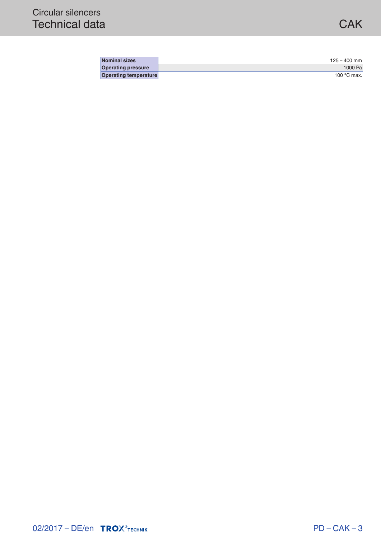| <b>Nominal sizes</b>         | $125 - 400$ mm       |
|------------------------------|----------------------|
| <b>Operating pressure</b>    | 1000 Pa              |
| <b>Operating temperature</b> | 100 $\degree$ C max. |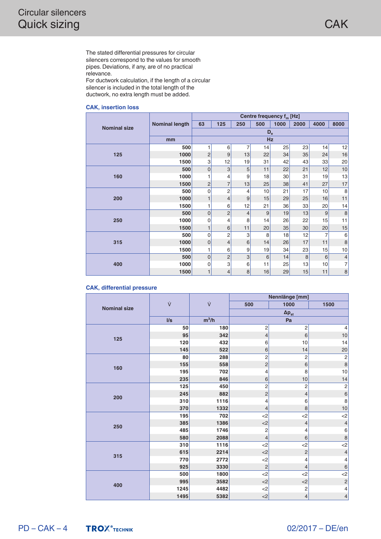The stated differential pressures for circular silencers correspond to the values for smooth pipes. Deviations, if any, are of no practical relevance.

For ductwork calculation, if the length of a circular silencer is included in the total length of the ductwork, no extra length must be added.

#### **CAK, insertion loss**

|                     |                       | Centre frequency f <sub>m</sub> [Hz] |                |                |     |      |                 |      |                |
|---------------------|-----------------------|--------------------------------------|----------------|----------------|-----|------|-----------------|------|----------------|
| <b>Nominal size</b> | <b>Nominal length</b> | 63                                   | 125            | 250            | 500 | 1000 | 2000            | 4000 | 8000           |
|                     |                       | $D_{e}$                              |                |                |     |      |                 |      |                |
|                     | mm                    |                                      | <b>Hz</b>      |                |     |      |                 |      |                |
|                     | 500                   |                                      | 6              | $\overline{7}$ | 14  | 25   | 23              | 14   | 12             |
| 125                 | 1000                  | $\overline{2}$                       | 9              | 13             | 22  | 34   | 35              | 24   | 16             |
|                     | 1500                  | 3                                    | 12             | 19             | 31  | 42   | 43              | 33   | 20             |
|                     | 500                   | $\overline{0}$                       | 3              | 5              | 11  | 22   | 21              | 12   | 10             |
| 160                 | 1000                  | 1                                    | 4              | 9              | 18  | 30   | 31              | 19   | 13             |
|                     | 1500                  | $\overline{c}$                       | $\overline{7}$ | 13             | 25  | 38   | 41              | 27   | 17             |
|                     | 500                   | $\mathbf 0$                          | $\overline{c}$ | 4              | 10  | 21   | 17              | 10   | 8              |
| 200                 | 1000                  | 1                                    | 4              | 9              | 15  | 29   | 25              | 16   | 11             |
|                     | 1500                  | 1                                    | 6              | 12             | 21  | 36   | 33              | 20   | 14             |
|                     | 500                   | $\Omega$                             | $\overline{c}$ | $\overline{4}$ | 9   | 19   | 13              | 9    | $\,8\,$        |
| 250                 | 1000                  | $\mathbf 0$                          | 4              | 8              | 14  | 26   | 22              | 15   | 11             |
|                     | 1500                  | 1                                    | 6              | 11             | 20  | 35   | 30 <sub>0</sub> | 20   | 15             |
|                     | 500                   | $\mathbf 0$                          | $\overline{c}$ | 3              | 8   | 18   | 12              | 7    | 6              |
| 315                 | 1000                  | $\overline{0}$                       | $\overline{4}$ | 6              | 14  | 26   | 17              | 11   | $\,$ 8 $\,$    |
|                     | 1500                  | 1                                    | 6              | 9              | 19  | 34   | 23              | 15   | 10             |
|                     | 500                   | $\overline{0}$                       | $\overline{c}$ | 3              | 6   | 14   | 8               | 6    | $\overline{4}$ |
| 400                 | 1000                  | $\mathbf 0$                          | 3              | 6              | 11  | 25   | 13              | 10   | 7              |
|                     | 1500                  | 1                                    | 4              | 8              | 16  | 29   | 15              | 11   | 8              |

#### **CAK, differential pressure**

|                     | ý    |         | Nennlänge [mm] |                             |                          |  |
|---------------------|------|---------|----------------|-----------------------------|--------------------------|--|
| <b>Nominal size</b> |      | Ý       | 500            | 1000                        | 1500                     |  |
|                     |      |         |                | $\Delta\mathbf{p}_{\rm st}$ |                          |  |
|                     | I/s  | $m^3/h$ |                | Pa                          |                          |  |
|                     | 50   | 180     | $\mathbf 2$    | $\overline{c}$              | 4                        |  |
| 125                 | 95   | 342     | $\overline{4}$ | 6                           | 10                       |  |
|                     | 120  | 432     | 6              | 10                          | 14                       |  |
|                     | 145  | 522     | $6\phantom{1}$ | 14                          | 20                       |  |
|                     | 80   | 288     | $\overline{c}$ | $\overline{2}$              | $\mathbf 2$              |  |
| 160                 | 155  | 558     | $\overline{c}$ | $\,$ 6                      | $\,$ 8 $\,$              |  |
|                     | 195  | 702     | 4              | 8                           | 10                       |  |
|                     | 235  | 846     | 6              | 10                          | 14                       |  |
|                     | 125  | 450     | $\overline{c}$ | $\overline{2}$              | $\overline{c}$           |  |
| 200                 | 245  | 882     | $\overline{c}$ | $\overline{4}$              | $\overline{6}$           |  |
|                     | 310  | 1116    | 4              | 6                           | 8                        |  |
|                     | 370  | 1332    | $\overline{4}$ | 8                           | $10$                     |  |
|                     | 195  | 702     | $<$ 2          | <                           | $<$ 2                    |  |
| 250                 | 385  | 1386    | $<$ 2          | $\overline{4}$              | $\overline{4}$           |  |
|                     | 485  | 1746    | $\overline{c}$ | $\overline{4}$              | $\,6$                    |  |
|                     | 580  | 2088    | $\overline{4}$ | 6                           | 8                        |  |
|                     | 310  | 1116    | $<$ 2          | $<$ 2                       | $<$ 2                    |  |
| 315                 | 615  | 2214    | $<$ 2          | $\overline{c}$              | $\overline{\mathcal{L}}$ |  |
|                     | 770  | 2772    | $<$ 2          | 4                           | 4                        |  |
|                     | 925  | 3330    | $\overline{c}$ | $\overline{4}$              | $\,$ 6                   |  |
|                     | 500  | 1800    | $<$ 2          | $<$ 2                       | $<$ 2                    |  |
| 400                 | 995  | 3582    | $<$ 2          | $<$ 2                       | $\overline{c}$           |  |
|                     | 1245 | 4482    | $<$ 2          | $\overline{c}$              | $\sqrt{4}$               |  |
|                     | 1495 | 5382    | $<$ 2          | $\overline{4}$              | $\overline{4}$           |  |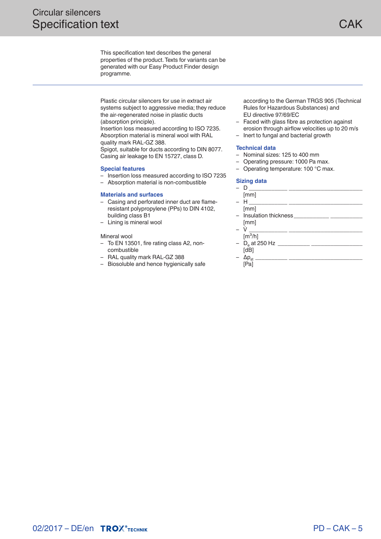This specification text describes the general properties of the product. Texts for variants can be generated with our Easy Product Finder design programme.

Plastic circular silencers for use in extract air systems subject to aggressive media; they reduce the air-regenerated noise in plastic ducts (absorption principle).

Insertion loss measured according to ISO 7235. Absorption material is mineral wool with RAL quality mark RAL-GZ 388.

Spigot, suitable for ducts according to DIN 8077. Casing air leakage to EN 15727, class D.

#### **Special features**

- Insertion loss measured according to ISO 7235
- Absorption material is non-combustible

#### **Materials and surfaces**

- Casing and perforated inner duct are flameresistant polypropylene (PPs) to DIN 4102, building class B1
- Lining is mineral wool

#### Mineral wool

- To EN 13501, fire rating class A2, noncombustible
- RAL quality mark RAL-GZ 388
- Biosoluble and hence hygienically safe

according to the German TRGS 905 (Technical Rules for Hazardous Substances) and EU directive 97/69/EC

- Faced with glass fibre as protection against erosion through airflow velocities up to 20 m/s
- Inert to fungal and bacterial growth

#### **Technical data**

- Nominal sizes: 125 to 400 mm
- Operating pressure: 1000 Pa max.
- Operating temperature: 100 °C max.

#### **Sizing data**

| D                                  |
|------------------------------------|
| [mm]                               |
| – H                                |
| [mm]                               |
| - Insulation thickness             |
| [mm]                               |
|                                    |
| $\lceil m^3/h \rceil$              |
| $-$ D <sub>e</sub> at 250 Hz _____ |
| ſdВ                                |

| ٠<br>× |  |
|--------|--|
|        |  |

 $\Delta p_{st}$ [Pa]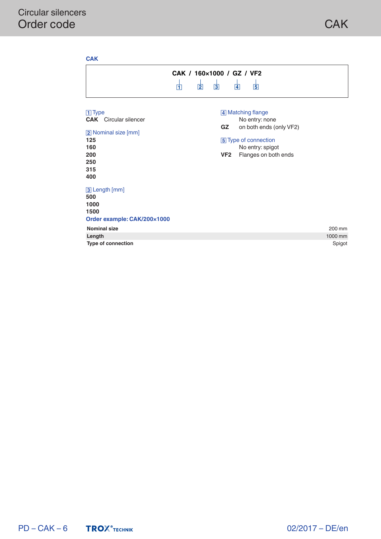| 帀                                                                                                                                                                                          | CAK / 160x1000 / GZ / VF2<br>囟<br>$\overline{3}$<br>$\overline{4}$<br>固                                                                                            |
|--------------------------------------------------------------------------------------------------------------------------------------------------------------------------------------------|--------------------------------------------------------------------------------------------------------------------------------------------------------------------|
| $\boxed{1}$ Type<br><b>CAK</b> Circular silencer<br>[2] Nominal size [mm]<br>125<br>160<br>200<br>250<br>315<br>400<br>3 Length [mm]<br>500<br>1000<br>1500<br>Order example: CAK/200x1000 | 4 Matching flange<br>No entry: none<br>on both ends (only VF2)<br><b>GZ</b><br>5 Type of connection<br>No entry: spigot<br>VF <sub>2</sub><br>Flanges on both ends |
| <b>Nominal size</b>                                                                                                                                                                        | 200 mm                                                                                                                                                             |
| Length                                                                                                                                                                                     | 1000 mm                                                                                                                                                            |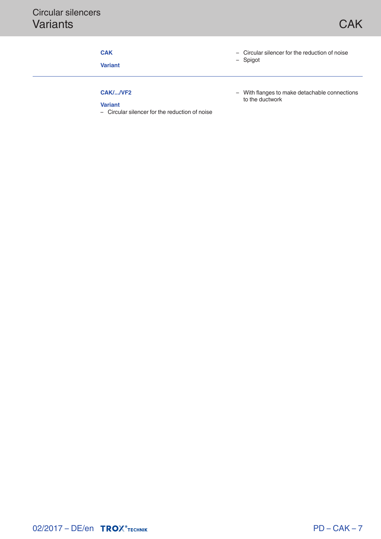### **CAK**

**Variant**

- Circular silencer for the reduction of noise
- Spigot

# **CAK/.../VF2**

#### **Variant**

– Circular silencer for the reduction of noise

– With flanges to make detachable connections to the ductwork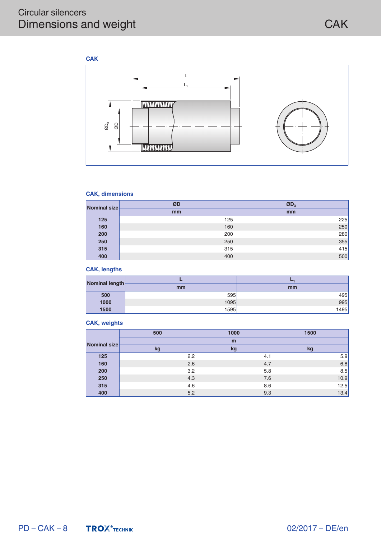## Circular silencers Dimensions and weight



#### **CAK, dimensions**

| Nominal size | ØD  | $ØD_3$ |
|--------------|-----|--------|
|              | mm  | mm     |
| 125          | 125 | 225    |
| 160          | 160 | 250    |
| 200          | 200 | 280    |
| 250          | 250 | 355    |
| 315          | 315 | 415    |
| 400          | 400 | 500    |

#### **CAK, lengths**

| Nominal length |      |      |
|----------------|------|------|
|                | mm   | mm   |
| 500            | 595  | 495  |
| 1000           | 1095 | 995  |
| 1500           | 1595 | 1495 |

#### **CAK, weights**

|              | 500 | 1000 | 1500 |  |
|--------------|-----|------|------|--|
| Nominal size | m   |      |      |  |
|              | kg  | kg   | kg   |  |
| 125          | 2.2 | 4.1  | 5.9  |  |
| 160          | 2.6 | 4.7  | 6.8  |  |
| 200          | 3.2 | 5.8  | 8.5  |  |
| 250          | 4.3 | 7.6  | 10.9 |  |
| 315          | 4.6 | 8.6  | 12.5 |  |
| 400          | 5.2 | 9.3  | 13.4 |  |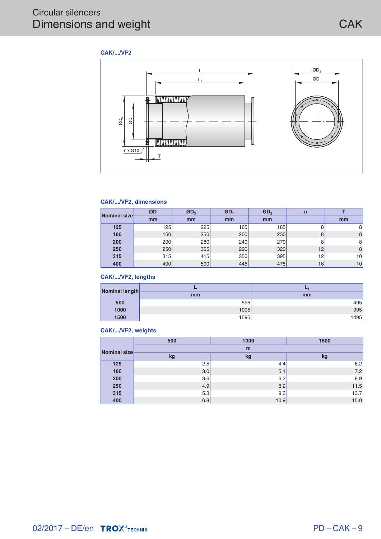

#### **CAK/.../VF2, dimensions**

| Nominal size | ØD  | $ØD_3$ | ØD, | ØD, | n  |    |
|--------------|-----|--------|-----|-----|----|----|
|              | mm  | mm     | mm  | mm  |    | mm |
| 125          | 125 | 225    | 165 | 185 | 8  | 8  |
| 160          | 160 | 250    | 200 | 230 | 8  | 8  |
| 200          | 200 | 280    | 240 | 270 | 8  | 8  |
| 250          | 250 | 355    | 290 | 320 | 12 | 8  |
| 315          | 315 | 415    | 350 | 395 | 12 | 10 |
| 400          | 400 | 500    | 445 | 475 | 16 | 10 |

#### **CAK/.../VF2, lengths**

| Nominal length- |      |      |  |
|-----------------|------|------|--|
|                 | mm   | mm   |  |
| 500             | 595  | 495  |  |
| 1000            | 1095 | 995  |  |
| 1500            | 1595 | 1495 |  |

#### **CAK/.../VF2, weights**

|              | 500 | 1000 | 1500 |
|--------------|-----|------|------|
| Nominal size | m   |      |      |
|              | kg  | kg   | kg   |
| 125          | 2.5 | 4.4  | 6.2  |
| 160          | 3.0 | 5.1  | 7.2  |
| 200          | 3.6 | 6.2  | 8.9  |
| 250          | 4.9 | 8.2  | 11.5 |
| 315          | 5.3 | 9.3  | 13.7 |
| 400          | 6.8 | 10.9 | 15.0 |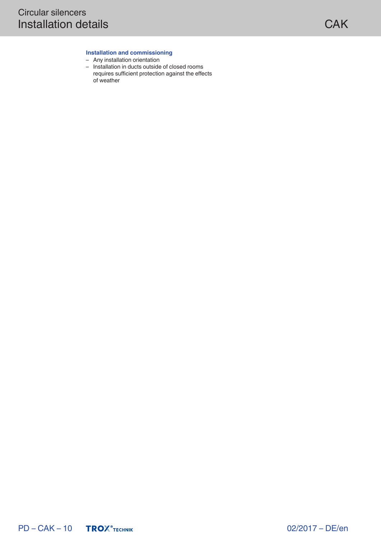#### **Installation and commissioning**

- Any installation orientation
- Installation in ducts outside of closed rooms requires sufficient protection against the effects of weather